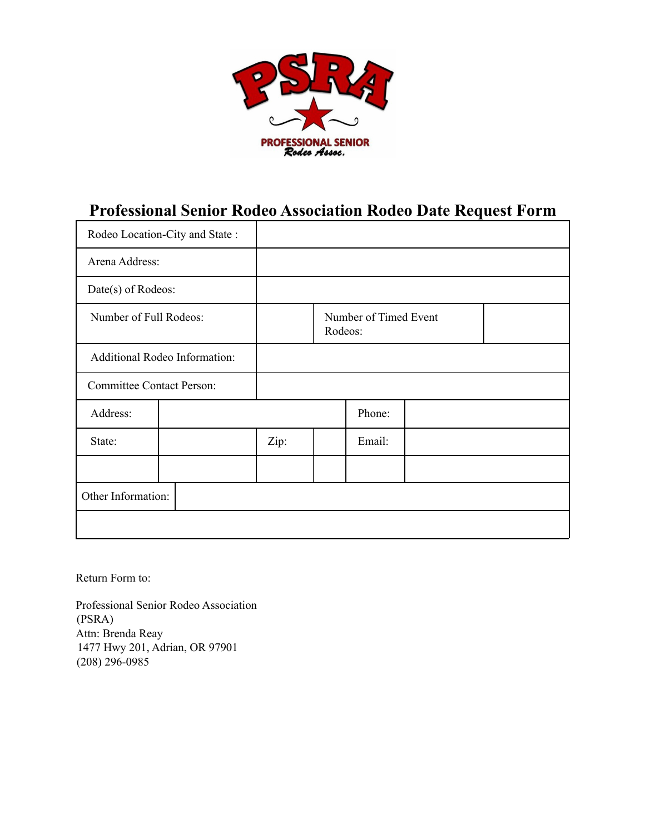

## **Professional Senior Rodeo Association Rodeo Date Request Form**

| Rodeo Location-City and State:   |  |      |                                  |        |  |  |
|----------------------------------|--|------|----------------------------------|--------|--|--|
| Arena Address:                   |  |      |                                  |        |  |  |
| Date(s) of Rodeos:               |  |      |                                  |        |  |  |
| Number of Full Rodeos:           |  |      | Number of Timed Event<br>Rodeos: |        |  |  |
| Additional Rodeo Information:    |  |      |                                  |        |  |  |
| <b>Committee Contact Person:</b> |  |      |                                  |        |  |  |
| Address:                         |  |      |                                  | Phone: |  |  |
| State:                           |  | Zip: |                                  | Email: |  |  |
|                                  |  |      |                                  |        |  |  |
| Other Information:               |  |      |                                  |        |  |  |
|                                  |  |      |                                  |        |  |  |

Return Form to:

Professional Senior Rodeo Association (PSRA) Attn: Brenda Reay 1477 Hwy 201, Adrian, OR 97901 (208) 296-0985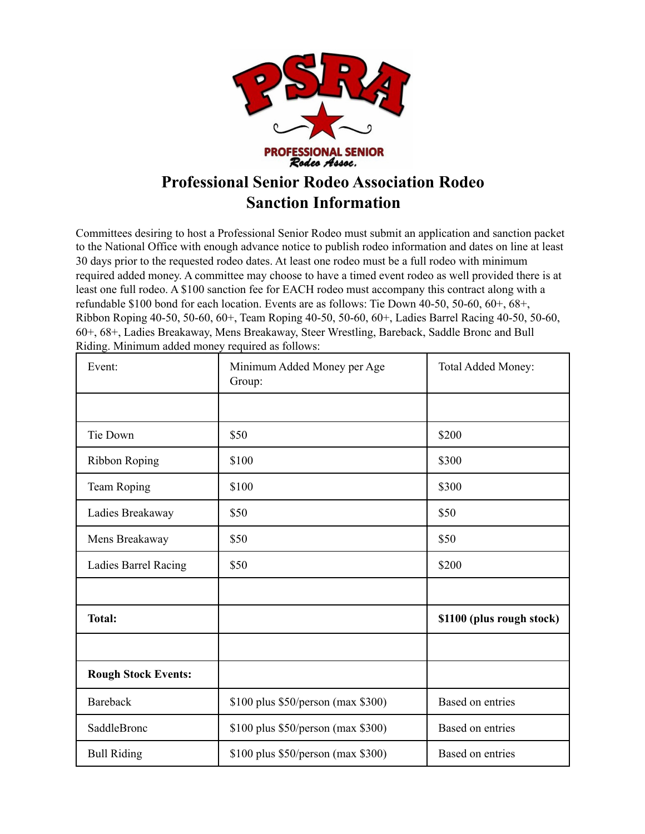

# **Professional Senior Rodeo Association Rodeo Sanction Information**

Committees desiring to host a Professional Senior Rodeo must submit an application and sanction packet to the National Office with enough advance notice to publish rodeo information and dates on line at least 30 days prior to the requested rodeo dates. At least one rodeo must be a full rodeo with minimum required added money. A committee may choose to have a timed event rodeo as well provided there is at least one full rodeo. A \$100 sanction fee for EACH rodeo must accompany this contract along with a refundable \$100 bond for each location. Events are as follows: Tie Down 40-50, 50-60, 60+, 68+, Ribbon Roping 40-50, 50-60, 60+, Team Roping 40-50, 50-60, 60+, Ladies Barrel Racing 40-50, 50-60, 60+, 68+, Ladies Breakaway, Mens Breakaway, Steer Wrestling, Bareback, Saddle Bronc and Bull Riding. Minimum added money required as follows:

| Event:                     | Minimum Added Money per Age<br>Group: | Total Added Money:        |
|----------------------------|---------------------------------------|---------------------------|
|                            |                                       |                           |
| Tie Down                   | \$50                                  | \$200                     |
| <b>Ribbon Roping</b>       | \$100                                 | \$300                     |
| Team Roping                | \$100                                 | \$300                     |
| Ladies Breakaway           | \$50                                  | \$50                      |
| Mens Breakaway             | \$50                                  | \$50                      |
| Ladies Barrel Racing       | \$50                                  | \$200                     |
|                            |                                       |                           |
| <b>Total:</b>              |                                       | \$1100 (plus rough stock) |
|                            |                                       |                           |
| <b>Rough Stock Events:</b> |                                       |                           |
| <b>Bareback</b>            | \$100 plus \$50/person (max \$300)    | Based on entries          |
| SaddleBronc                | \$100 plus \$50/person (max \$300)    | Based on entries          |
| <b>Bull Riding</b>         | \$100 plus \$50/person (max \$300)    | Based on entries          |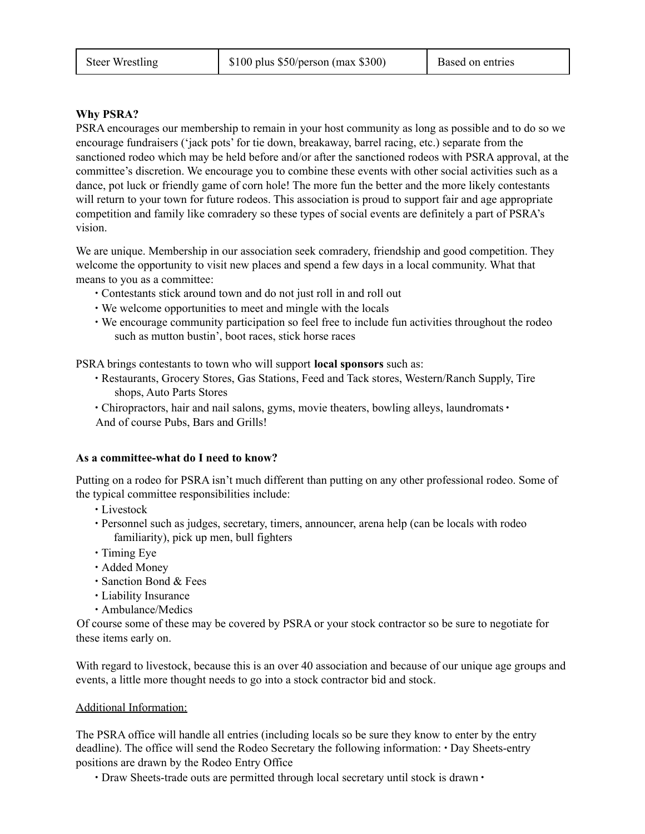### **Why PSRA?**

PSRA encourages our membership to remain in your host community as long as possible and to do so we encourage fundraisers ('jack pots' for tie down, breakaway, barrel racing, etc.) separate from the sanctioned rodeo which may be held before and/or after the sanctioned rodeos with PSRA approval, at the committee's discretion. We encourage you to combine these events with other social activities such as a dance, pot luck or friendly game of corn hole! The more fun the better and the more likely contestants will return to your town for future rodeos. This association is proud to support fair and age appropriate competition and family like comradery so these types of social events are definitely a part of PSRA's vision.

We are unique. Membership in our association seek comradery, friendship and good competition. They welcome the opportunity to visit new places and spend a few days in a local community. What that means to you as a committee:

- ∙ Contestants stick around town and do not just roll in and roll out
- ∙ We welcome opportunities to meet and mingle with the locals
- ∙ We encourage community participation so feel free to include fun activities throughout the rodeo such as mutton bustin', boot races, stick horse races

PSRA brings contestants to town who will support **local sponsors** such as:

- ∙ Restaurants, Grocery Stores, Gas Stations, Feed and Tack stores, Western/Ranch Supply, Tire shops, Auto Parts Stores
- ∙ Chiropractors, hair and nail salons, gyms, movie theaters, bowling alleys, laundromats ∙ And of course Pubs, Bars and Grills!

### **As a committee-what do I need to know?**

Putting on a rodeo for PSRA isn't much different than putting on any other professional rodeo. Some of the typical committee responsibilities include:

- ∙ Livestock
- ∙ Personnel such as judges, secretary, timers, announcer, arena help (can be locals with rodeo familiarity), pick up men, bull fighters
- ∙ Timing Eye
- ∙ Added Money
- ∙ Sanction Bond & Fees
- ∙ Liability Insurance
- ∙ Ambulance/Medics

Of course some of these may be covered by PSRA or your stock contractor so be sure to negotiate for these items early on.

With regard to livestock, because this is an over 40 association and because of our unique age groups and events, a little more thought needs to go into a stock contractor bid and stock.

### Additional Information:

The PSRA office will handle all entries (including locals so be sure they know to enter by the entry deadline). The office will send the Rodeo Secretary the following information: ∙ Day Sheets-entry positions are drawn by the Rodeo Entry Office

∙ Draw Sheets-trade outs are permitted through local secretary until stock is drawn ∙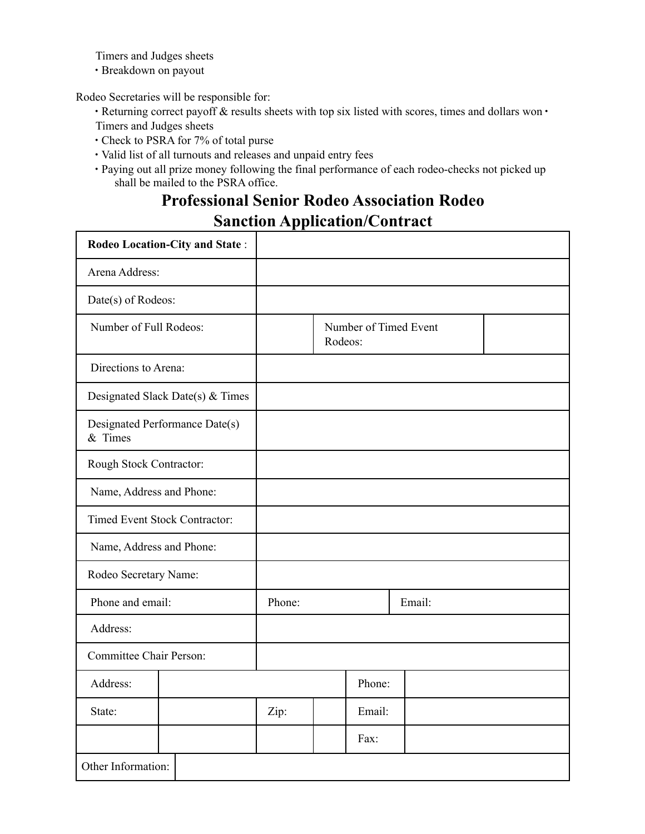Timers and Judges sheets

∙ Breakdown on payout

Rodeo Secretaries will be responsible for:

- ∙ Returning correct payoff & results sheets with top six listed with scores, times and dollars won ∙ Timers and Judges sheets
- ∙ Check to PSRA for 7% of total purse
- ∙ Valid list of all turnouts and releases and unpaid entry fees
- ∙ Paying out all prize money following the final performance of each rodeo-checks not picked up shall be mailed to the PSRA office.

# **Professional Senior Rodeo Association Rodeo Sanction Application/Contract**

| Rodeo Location-City and State:            |                                      |        |         |                       |        |  |  |
|-------------------------------------------|--------------------------------------|--------|---------|-----------------------|--------|--|--|
| Arena Address:                            |                                      |        |         |                       |        |  |  |
| Date(s) of Rodeos:                        |                                      |        |         |                       |        |  |  |
| Number of Full Rodeos:                    |                                      |        | Rodeos: | Number of Timed Event |        |  |  |
| Directions to Arena:                      |                                      |        |         |                       |        |  |  |
|                                           | Designated Slack Date(s) $&$ Times   |        |         |                       |        |  |  |
| Designated Performance Date(s)<br>& Times |                                      |        |         |                       |        |  |  |
| Rough Stock Contractor:                   |                                      |        |         |                       |        |  |  |
| Name, Address and Phone:                  |                                      |        |         |                       |        |  |  |
|                                           | <b>Timed Event Stock Contractor:</b> |        |         |                       |        |  |  |
| Name, Address and Phone:                  |                                      |        |         |                       |        |  |  |
| Rodeo Secretary Name:                     |                                      |        |         |                       |        |  |  |
| Phone and email:                          |                                      | Phone: |         |                       | Email: |  |  |
| Address:                                  |                                      |        |         |                       |        |  |  |
| <b>Committee Chair Person:</b>            |                                      |        |         |                       |        |  |  |
| Address:                                  |                                      |        |         | Phone:                |        |  |  |
| State:                                    |                                      | Zip:   |         | Email:                |        |  |  |
|                                           |                                      |        |         | Fax:                  |        |  |  |
| Other Information:                        |                                      |        |         |                       |        |  |  |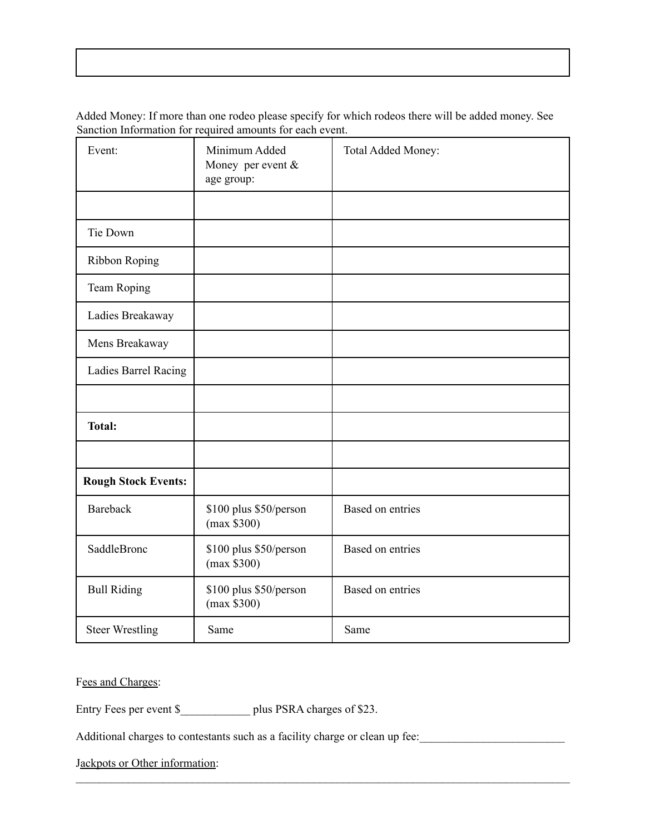Added Money: If more than one rodeo please specify for which rodeos there will be added money. See Sanction Information for required amounts for each event.

| Event:                     | Minimum Added<br>Money per event $&$<br>age group: | Total Added Money: |
|----------------------------|----------------------------------------------------|--------------------|
|                            |                                                    |                    |
| Tie Down                   |                                                    |                    |
| <b>Ribbon Roping</b>       |                                                    |                    |
| Team Roping                |                                                    |                    |
| Ladies Breakaway           |                                                    |                    |
| Mens Breakaway             |                                                    |                    |
| Ladies Barrel Racing       |                                                    |                    |
|                            |                                                    |                    |
| <b>Total:</b>              |                                                    |                    |
|                            |                                                    |                    |
| <b>Rough Stock Events:</b> |                                                    |                    |
| <b>Bareback</b>            | \$100 plus \$50/person<br>(max \$300)              | Based on entries   |
| SaddleBronc                | \$100 plus \$50/person<br>(max \$300)              | Based on entries   |
| <b>Bull Riding</b>         | \$100 plus \$50/person<br>(max \$300)              | Based on entries   |
| <b>Steer Wrestling</b>     | Same                                               | Same               |

Fees and Charges:

Entry Fees per event \$ \_\_\_\_\_\_\_\_\_\_\_\_\_\_\_ plus PSRA charges of \$23.

Additional charges to contestants such as a facility charge or clean up fee:\_\_\_\_\_\_\_\_\_\_\_\_\_\_\_\_\_\_\_\_\_\_\_\_\_

 $\mathcal{L}_\text{max} = \mathcal{L}_\text{max} = \mathcal{L}_\text{max} = \mathcal{L}_\text{max} = \mathcal{L}_\text{max} = \mathcal{L}_\text{max} = \mathcal{L}_\text{max} = \mathcal{L}_\text{max} = \mathcal{L}_\text{max} = \mathcal{L}_\text{max} = \mathcal{L}_\text{max} = \mathcal{L}_\text{max} = \mathcal{L}_\text{max} = \mathcal{L}_\text{max} = \mathcal{L}_\text{max} = \mathcal{L}_\text{max} = \mathcal{L}_\text{max} = \mathcal{L}_\text{max} = \mathcal{$ 

Jackpots or Other information: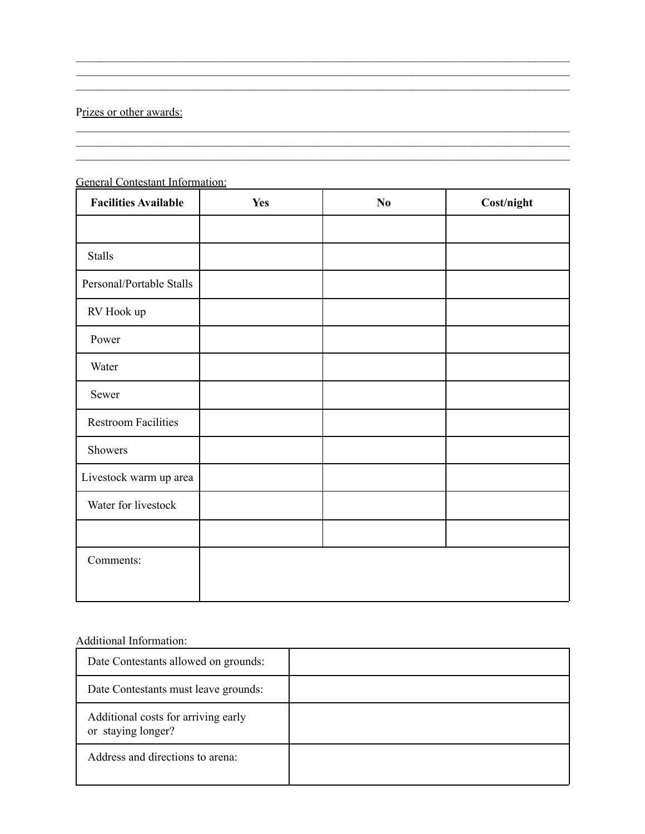## Prizes or other awards:

| <u> Unicomine intornimentis</u><br><b>Facilities Available</b> | <b>Yes</b> | No | Cost/night |
|----------------------------------------------------------------|------------|----|------------|
|                                                                |            |    |            |
| <b>Stalls</b>                                                  |            |    |            |
| Personal/Portable Stalls                                       |            |    |            |
| RV Hook up                                                     |            |    |            |
| Power                                                          |            |    |            |
| Water                                                          |            |    |            |
| Sewer                                                          |            |    |            |
| <b>Restroom Facilities</b>                                     |            |    |            |
| Showers                                                        |            |    |            |
| Livestock warm up area                                         |            |    |            |
| Water for livestock                                            |            |    |            |
|                                                                |            |    |            |
| Comments:                                                      |            |    |            |

 $\mathcal{L}_\text{max} = \mathcal{L}_\text{max} = \mathcal{L}_\text{max} = \mathcal{L}_\text{max} = \mathcal{L}_\text{max} = \mathcal{L}_\text{max} = \mathcal{L}_\text{max} = \mathcal{L}_\text{max} = \mathcal{L}_\text{max} = \mathcal{L}_\text{max} = \mathcal{L}_\text{max} = \mathcal{L}_\text{max} = \mathcal{L}_\text{max} = \mathcal{L}_\text{max} = \mathcal{L}_\text{max} = \mathcal{L}_\text{max} = \mathcal{L}_\text{max} = \mathcal{L}_\text{max} = \mathcal{$  $\mathcal{L}_\text{max} = \mathcal{L}_\text{max} = \mathcal{L}_\text{max} = \mathcal{L}_\text{max} = \mathcal{L}_\text{max} = \mathcal{L}_\text{max} = \mathcal{L}_\text{max} = \mathcal{L}_\text{max} = \mathcal{L}_\text{max} = \mathcal{L}_\text{max} = \mathcal{L}_\text{max} = \mathcal{L}_\text{max} = \mathcal{L}_\text{max} = \mathcal{L}_\text{max} = \mathcal{L}_\text{max} = \mathcal{L}_\text{max} = \mathcal{L}_\text{max} = \mathcal{L}_\text{max} = \mathcal{$  $\mathcal{L}_\text{max} = \mathcal{L}_\text{max} = \mathcal{L}_\text{max} = \mathcal{L}_\text{max} = \mathcal{L}_\text{max} = \mathcal{L}_\text{max} = \mathcal{L}_\text{max} = \mathcal{L}_\text{max} = \mathcal{L}_\text{max} = \mathcal{L}_\text{max} = \mathcal{L}_\text{max} = \mathcal{L}_\text{max} = \mathcal{L}_\text{max} = \mathcal{L}_\text{max} = \mathcal{L}_\text{max} = \mathcal{L}_\text{max} = \mathcal{L}_\text{max} = \mathcal{L}_\text{max} = \mathcal{$ 

 $\mathcal{L}_\text{max} = \mathcal{L}_\text{max} = \mathcal{L}_\text{max} = \mathcal{L}_\text{max} = \mathcal{L}_\text{max} = \mathcal{L}_\text{max} = \mathcal{L}_\text{max} = \mathcal{L}_\text{max} = \mathcal{L}_\text{max} = \mathcal{L}_\text{max} = \mathcal{L}_\text{max} = \mathcal{L}_\text{max} = \mathcal{L}_\text{max} = \mathcal{L}_\text{max} = \mathcal{L}_\text{max} = \mathcal{L}_\text{max} = \mathcal{L}_\text{max} = \mathcal{L}_\text{max} = \mathcal{$ 

 $\mathcal{L}_\text{max}$ 

#### General Contestant Information:

\_\_\_\_\_\_\_\_\_\_\_\_\_\_\_\_\_\_\_\_\_\_\_\_\_\_\_\_\_\_\_\_\_\_\_\_\_\_\_\_\_\_\_\_\_\_\_\_\_\_\_\_\_\_\_\_\_\_\_\_\_\_\_\_\_\_\_\_\_\_\_\_\_\_\_\_\_\_\_\_\_\_\_\_\_

### Additional Information:

| Date Contestants allowed on grounds:                      |  |
|-----------------------------------------------------------|--|
| Date Contestants must leave grounds:                      |  |
| Additional costs for arriving early<br>or staying longer? |  |
| Address and directions to arena:                          |  |